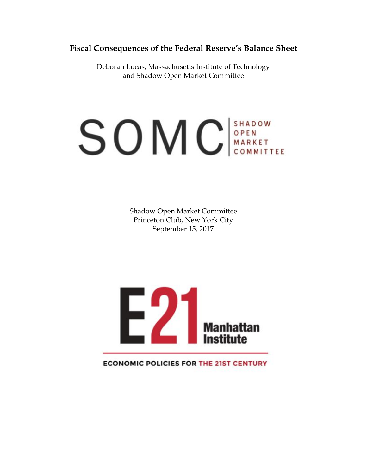# **Fiscal Consequences of the Federal Reserve's Balance Sheet**

Deborah Lucas, Massachusetts Institute of Technology and Shadow Open Market Committee

# **SOMC** SHADOW

Shadow Open Market Committee Princeton Club, New York City September 15, 2017



**ECONOMIC POLICIES FOR THE 21ST CENTURY**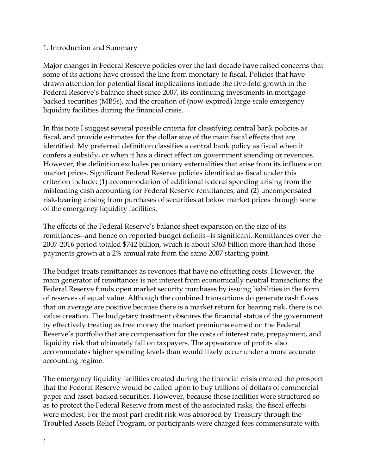## 1. Introduction and Summary

Major changes in Federal Reserve policies over the last decade have raised concerns that some of its actions have crossed the line from monetary to fiscal. Policies that have drawn attention for potential fiscal implications include the five-fold growth in the Federal Reserve's balance sheet since 2007, its continuing investments in mortgagebacked securities (MBSs), and the creation of (now-expired) large-scale emergency liquidity facilities during the financial crisis.

In this note I suggest several possible criteria for classifying central bank policies as fiscal, and provide estimates for the dollar size of the main fiscal effects that are identified. My preferred definition classifies a central bank policy as fiscal when it confers a subsidy, or when it has a direct effect on government spending or revenues. However, the definition excludes pecuniary externalities that arise from its influence on market prices. Significant Federal Reserve policies identified as fiscal under this criterion include: (1) accommodation of additional federal spending arising from the misleading cash accounting for Federal Reserve remittances; and (2) uncompensated risk-bearing arising from purchases of securities at below market prices through some of the emergency liquidity facilities.

The effects of the Federal Reserve's balance sheet expansion on the size of its remittances--and hence on reported budget deficits--is significant. Remittances over the 2007-2016 period totaled \$742 billion, which is about \$363 billion more than had those payments grown at a 2% annual rate from the same 2007 starting point.

The budget treats remittances as revenues that have no offsetting costs. However, the main generator of remittances is net interest from economically neutral transactions: the Federal Reserve funds open market security purchases by issuing liabilities in the form of reserves of equal value. Although the combined transactions do generate cash flows that on average are positive because there is a market return for bearing risk, there is no value creation. The budgetary treatment obscures the financial status of the government by effectively treating as free money the market premiums earned on the Federal Reserve's portfolio that are compensation for the costs of interest rate, prepayment, and liquidity risk that ultimately fall on taxpayers. The appearance of profits also accommodates higher spending levels than would likely occur under a more accurate accounting regime.

The emergency liquidity facilities created during the financial crisis created the prospect that the Federal Reserve would be called upon to buy trillions of dollars of commercial paper and asset-backed securities. However, because those facilities were structured so as to protect the Federal Reserve from most of the associated risks, the fiscal effects were modest. For the most part credit risk was absorbed by Treasury through the Troubled Assets Relief Program, or participants were charged fees commensurate with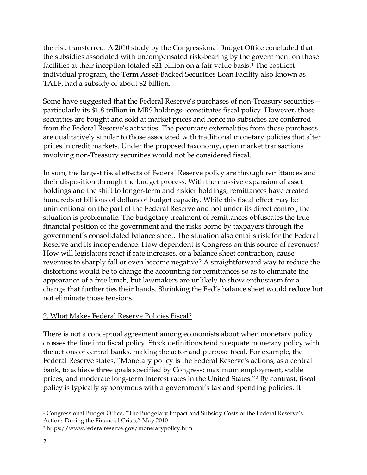the risk transferred. A 2010 study by the Congressional Budget Office concluded that the subsidies associated with uncompensated risk-bearing by the government on those facilities at their inception totaled \$21 billion on a fair value basis.[1](#page-2-0) The costliest individual program, the Term Asset-Backed Securities Loan Facility also known as TALF, had a subsidy of about \$2 billion.

Some have suggested that the Federal Reserve's purchases of non-Treasury securities particularly its \$1.8 trillion in MBS holdings--constitutes fiscal policy. However, those securities are bought and sold at market prices and hence no subsidies are conferred from the Federal Reserve's activities. The pecuniary externalities from those purchases are qualitatively similar to those associated with traditional monetary policies that alter prices in credit markets. Under the proposed taxonomy, open market transactions involving non-Treasury securities would not be considered fiscal.

In sum, the largest fiscal effects of Federal Reserve policy are through remittances and their disposition through the budget process. With the massive expansion of asset holdings and the shift to longer-term and riskier holdings, remittances have created hundreds of billions of dollars of budget capacity. While this fiscal effect may be unintentional on the part of the Federal Reserve and not under its direct control, the situation is problematic. The budgetary treatment of remittances obfuscates the true financial position of the government and the risks borne by taxpayers through the government's consolidated balance sheet. The situation also entails risk for the Federal Reserve and its independence. How dependent is Congress on this source of revenues? How will legislators react if rate increases, or a balance sheet contraction, cause revenues to sharply fall or even become negative? A straightforward way to reduce the distortions would be to change the accounting for remittances so as to eliminate the appearance of a free lunch, but lawmakers are unlikely to show enthusiasm for a change that further ties their hands. Shrinking the Fed's balance sheet would reduce but not eliminate those tensions.

# 2. What Makes Federal Reserve Policies Fiscal?

There is not a conceptual agreement among economists about when monetary policy crosses the line into fiscal policy. Stock definitions tend to equate monetary policy with the actions of central banks, making the actor and purpose focal. For example, the Federal Reserve states, "Monetary policy is the Federal Reserve's actions, as a central bank, to achieve three goals specified by Congress: maximum employment, stable prices, and moderate long-term interest rates in the United States."[2](#page-2-1) By contrast, fiscal policy is typically synonymous with a government's tax and spending policies. It

l

<span id="page-2-0"></span><sup>1</sup> Congressional Budget Office, "The Budgetary Impact and Subsidy Costs of the Federal Reserve's Actions During the Financial Crisis," May 2010

<span id="page-2-1"></span><sup>2</sup> https://www.federalreserve.gov/monetarypolicy.htm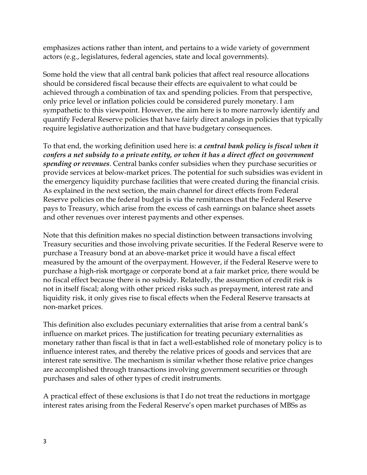emphasizes actions rather than intent, and pertains to a wide variety of government actors (e.g., legislatures, federal agencies, state and local governments).

Some hold the view that all central bank policies that affect real resource allocations should be considered fiscal because their effects are equivalent to what could be achieved through a combination of tax and spending policies. From that perspective, only price level or inflation policies could be considered purely monetary. I am sympathetic to this viewpoint. However, the aim here is to more narrowly identify and quantify Federal Reserve policies that have fairly direct analogs in policies that typically require legislative authorization and that have budgetary consequences.

To that end, the working definition used here is: *a central bank policy is fiscal when it confers a net subsidy to a private entity, or when it has a direct effect on government spending or revenues*. Central banks confer subsidies when they purchase securities or provide services at below-market prices. The potential for such subsidies was evident in the emergency liquidity purchase facilities that were created during the financial crisis. As explained in the next section, the main channel for direct effects from Federal Reserve policies on the federal budget is via the remittances that the Federal Reserve pays to Treasury, which arise from the excess of cash earnings on balance sheet assets and other revenues over interest payments and other expenses.

Note that this definition makes no special distinction between transactions involving Treasury securities and those involving private securities. If the Federal Reserve were to purchase a Treasury bond at an above-market price it would have a fiscal effect measured by the amount of the overpayment. However, if the Federal Reserve were to purchase a high-risk mortgage or corporate bond at a fair market price, there would be no fiscal effect because there is no subsidy. Relatedly, the assumption of credit risk is not in itself fiscal; along with other priced risks such as prepayment, interest rate and liquidity risk, it only gives rise to fiscal effects when the Federal Reserve transacts at non-market prices.

This definition also excludes pecuniary externalities that arise from a central bank's influence on market prices. The justification for treating pecuniary externalities as monetary rather than fiscal is that in fact a well-established role of monetary policy is to influence interest rates, and thereby the relative prices of goods and services that are interest rate sensitive. The mechanism is similar whether those relative price changes are accomplished through transactions involving government securities or through purchases and sales of other types of credit instruments.

A practical effect of these exclusions is that I do not treat the reductions in mortgage interest rates arising from the Federal Reserve's open market purchases of MBSs as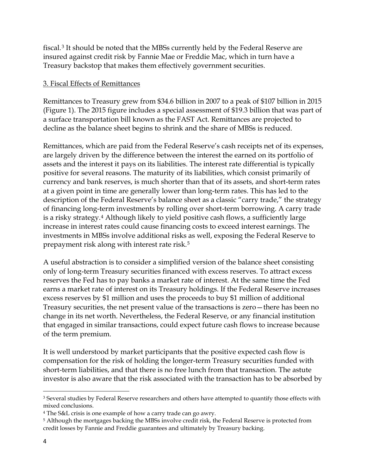fiscal.[3](#page-4-0) It should be noted that the MBSs currently held by the Federal Reserve are insured against credit risk by Fannie Mae or Freddie Mac, which in turn have a Treasury backstop that makes them effectively government securities.

### 3. Fiscal Effects of Remittances

Remittances to Treasury grew from \$34.6 billion in 2007 to a peak of \$107 billion in 2015 (Figure 1). The 2015 figure includes a special assessment of \$19.3 billion that was part of a surface transportation bill known as the FAST Act. Remittances are projected to decline as the balance sheet begins to shrink and the share of MBSs is reduced.

Remittances, which are paid from the Federal Reserve's cash receipts net of its expenses, are largely driven by the difference between the interest the earned on its portfolio of assets and the interest it pays on its liabilities. The interest rate differential is typically positive for several reasons. The maturity of its liabilities, which consist primarily of currency and bank reserves, is much shorter than that of its assets, and short-term rates at a given point in time are generally lower than long-term rates. This has led to the description of the Federal Reserve's balance sheet as a classic "carry trade," the strategy of financing long-term investments by rolling over short-term borrowing. A carry trade is a risky strategy[.4](#page-4-1) Although likely to yield positive cash flows, a sufficiently large increase in interest rates could cause financing costs to exceed interest earnings. The investments in MBSs involve additional risks as well, exposing the Federal Reserve to prepayment risk along with interest rate risk[.5](#page-4-2)

A useful abstraction is to consider a simplified version of the balance sheet consisting only of long-term Treasury securities financed with excess reserves. To attract excess reserves the Fed has to pay banks a market rate of interest. At the same time the Fed earns a market rate of interest on its Treasury holdings. If the Federal Reserve increases excess reserves by \$1 million and uses the proceeds to buy \$1 million of additional Treasury securities, the net present value of the transactions is zero—there has been no change in its net worth. Nevertheless, the Federal Reserve, or any financial institution that engaged in similar transactions, could expect future cash flows to increase because of the term premium.

It is well understood by market participants that the positive expected cash flow is compensation for the risk of holding the longer-term Treasury securities funded with short-term liabilities, and that there is no free lunch from that transaction. The astute investor is also aware that the risk associated with the transaction has to be absorbed by

l

<span id="page-4-0"></span><sup>&</sup>lt;sup>3</sup> Several studies by Federal Reserve researchers and others have attempted to quantify those effects with mixed conclusions.

<span id="page-4-1"></span><sup>4</sup> The S&L crisis is one example of how a carry trade can go awry.

<span id="page-4-2"></span><sup>5</sup> Although the mortgages backing the MBSs involve credit risk, the Federal Reserve is protected from credit losses by Fannie and Freddie guarantees and ultimately by Treasury backing.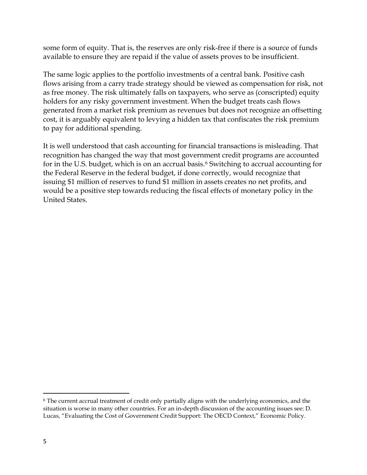some form of equity. That is, the reserves are only risk-free if there is a source of funds available to ensure they are repaid if the value of assets proves to be insufficient.

The same logic applies to the portfolio investments of a central bank. Positive cash flows arising from a carry trade strategy should be viewed as compensation for risk, not as free money. The risk ultimately falls on taxpayers, who serve as (conscripted) equity holders for any risky government investment. When the budget treats cash flows generated from a market risk premium as revenues but does not recognize an offsetting cost, it is arguably equivalent to levying a hidden tax that confiscates the risk premium to pay for additional spending.

It is well understood that cash accounting for financial transactions is misleading. That recognition has changed the way that most government credit programs are accounted for in the U.S. budget, which is on an accrual basis.<sup>[6](#page-5-0)</sup> Switching to accrual accounting for the Federal Reserve in the federal budget, if done correctly, would recognize that issuing \$1 million of reserves to fund \$1 million in assets creates no net profits, and would be a positive step towards reducing the fiscal effects of monetary policy in the United States.

l

<span id="page-5-0"></span><sup>6</sup> The current accrual treatment of credit only partially aligns with the underlying economics, and the situation is worse in many other countries. For an in-depth discussion of the accounting issues see: D. Lucas, "Evaluating the Cost of Government Credit Support: The OECD Context," Economic Policy.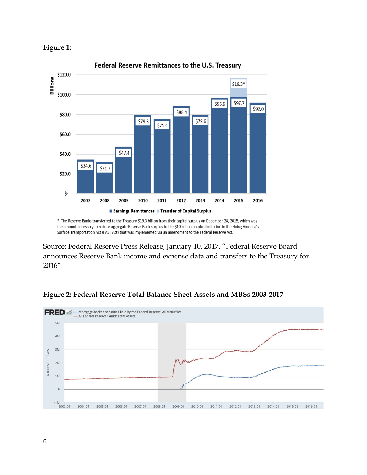



\* The Reserve Banks transferred to the Treasury \$19.3 billion from their capital surplus on December 28, 2015, which was the amount necessary to reduce aggregate Reserve Bank surplus to the \$10 billion surplus limitation in the Fixing America's Surface Transportation Act (FAST Act) that was implemented via an amendment to the Federal Reserve Act.

Source: Federal Reserve Press Release, January 10, 2017, "Federal Reserve Board announces Reserve Bank income and expense data and transfers to the Treasury for 2016"



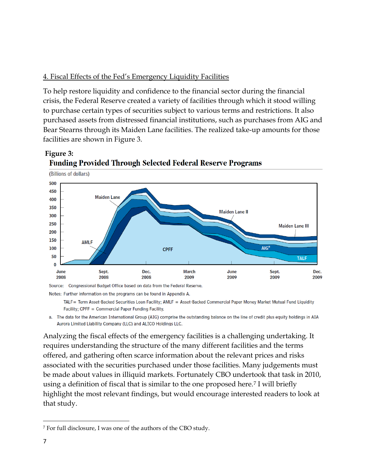# 4. Fiscal Effects of the Fed's Emergency Liquidity Facilities

To help restore liquidity and confidence to the financial sector during the financial crisis, the Federal Reserve created a variety of facilities through which it stood willing to purchase certain types of securities subject to various terms and restrictions. It also purchased assets from distressed financial institutions, such as purchases from AIG and Bear Stearns through its Maiden Lane facilities. The realized take-up amounts for those facilities are shown in Figure 3.



# **Figure 3: Funding Provided Through Selected Federal Reserve Programs**

Notes: Further information on the programs can be found in Appendix A.

TALF= Term Asset-Backed Securities Loan Facility; AMLF = Asset-Backed Commercial Paper Money Market Mutual Fund Liquidity Facility; CPFF = Commercial Paper Funding Facility.

a. The data for the American International Group (AIG) comprise the outstanding balance on the line of credit plus equity holdings in AIA Aurora Limited Liability Company (LLC) and ALICO Holdings LLC.

Analyzing the fiscal effects of the emergency facilities is a challenging undertaking. It requires understanding the structure of the many different facilities and the terms offered, and gathering often scarce information about the relevant prices and risks associated with the securities purchased under those facilities. Many judgements must be made about values in illiquid markets. Fortunately CBO undertook that task in 2010, using a definition of fiscal that is similar to the one proposed here.[7](#page-7-0) I will briefly highlight the most relevant findings, but would encourage interested readers to look at that study.

 $\overline{\phantom{a}}$ 

<span id="page-7-0"></span><sup>7</sup> For full disclosure, I was one of the authors of the CBO study.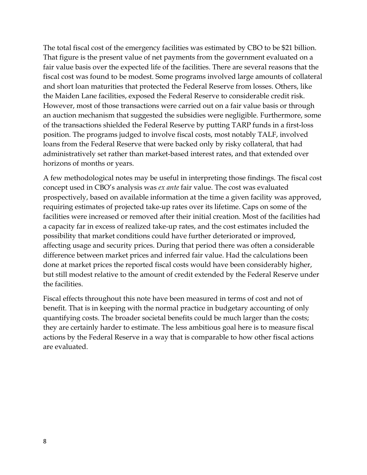The total fiscal cost of the emergency facilities was estimated by CBO to be \$21 billion. That figure is the present value of net payments from the government evaluated on a fair value basis over the expected life of the facilities. There are several reasons that the fiscal cost was found to be modest. Some programs involved large amounts of collateral and short loan maturities that protected the Federal Reserve from losses. Others, like the Maiden Lane facilities, exposed the Federal Reserve to considerable credit risk. However, most of those transactions were carried out on a fair value basis or through an auction mechanism that suggested the subsidies were negligible. Furthermore, some of the transactions shielded the Federal Reserve by putting TARP funds in a first-loss position. The programs judged to involve fiscal costs, most notably TALF, involved loans from the Federal Reserve that were backed only by risky collateral, that had administratively set rather than market-based interest rates, and that extended over horizons of months or years.

A few methodological notes may be useful in interpreting those findings. The fiscal cost concept used in CBO's analysis was *ex ante* fair value. The cost was evaluated prospectively, based on available information at the time a given facility was approved, requiring estimates of projected take-up rates over its lifetime. Caps on some of the facilities were increased or removed after their initial creation. Most of the facilities had a capacity far in excess of realized take-up rates, and the cost estimates included the possibility that market conditions could have further deteriorated or improved, affecting usage and security prices. During that period there was often a considerable difference between market prices and inferred fair value. Had the calculations been done at market prices the reported fiscal costs would have been considerably higher, but still modest relative to the amount of credit extended by the Federal Reserve under the facilities.

Fiscal effects throughout this note have been measured in terms of cost and not of benefit. That is in keeping with the normal practice in budgetary accounting of only quantifying costs. The broader societal benefits could be much larger than the costs; they are certainly harder to estimate. The less ambitious goal here is to measure fiscal actions by the Federal Reserve in a way that is comparable to how other fiscal actions are evaluated.